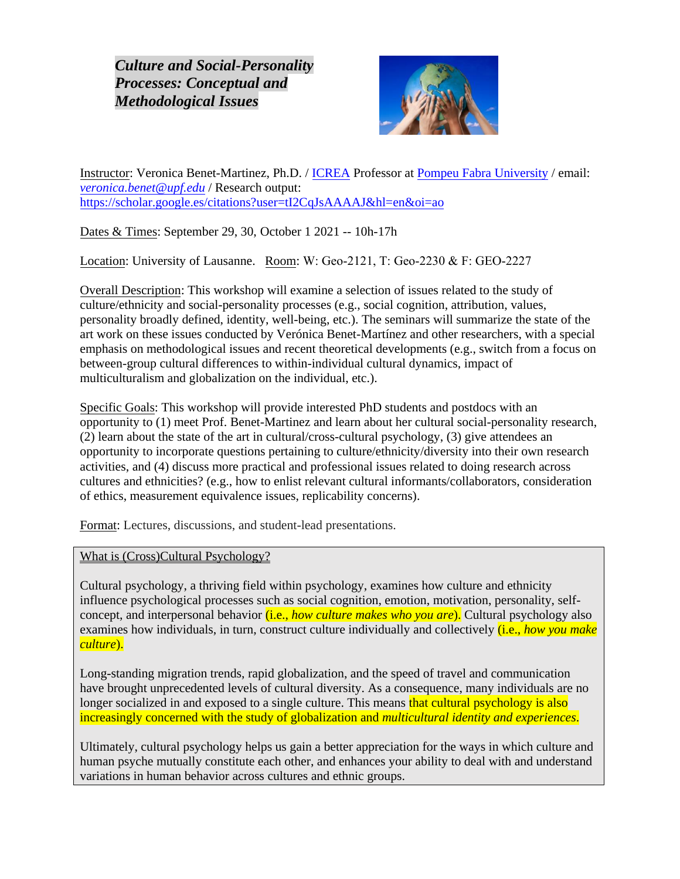*Culture and Social-Personality Processes: Conceptual and Methodological Issues*



Instructor: Veronica Benet-Martinez, Ph.D. / [ICREA](https://www.icrea.cat/en) Professor at [Pompeu Fabra University](https://www.upf.edu/en/) / email: *[veronica.benet@upf.edu](mailto:veronica.benet@upf.edu)* / Research output: <https://scholar.google.es/citations?user=tI2CqJsAAAAJ&hl=en&oi=ao>

Dates & Times: September 29, 30, October 1 2021 -- 10h-17h

Location: University of Lausanne. Room: W: Geo-2121, T: Geo-2230 & F: GEO-2227

Overall Description: This workshop will examine a selection of issues related to the study of culture/ethnicity and social-personality processes (e.g., social cognition, attribution, values, personality broadly defined, identity, well-being, etc.). The seminars will summarize the state of the art work on these issues conducted by Verónica Benet-Martínez and other researchers, with a special emphasis on methodological issues and recent theoretical developments (e.g., switch from a focus on between-group cultural differences to within-individual cultural dynamics, impact of multiculturalism and globalization on the individual, etc.).

Specific Goals: This workshop will provide interested PhD students and postdocs with an opportunity to (1) meet Prof. Benet-Martinez and learn about her cultural social-personality research, (2) learn about the state of the art in cultural/cross-cultural psychology, (3) give attendees an opportunity to incorporate questions pertaining to culture/ethnicity/diversity into their own research activities, and (4) discuss more practical and professional issues related to doing research across cultures and ethnicities? (e.g., how to enlist relevant cultural informants/collaborators, consideration of ethics, measurement equivalence issues, replicability concerns).

Format: Lectures, discussions, and student-lead presentations.

What is (Cross)Cultural Psychology?

Cultural psychology, a thriving field within psychology, examines how culture and ethnicity influence psychological processes such as social cognition, emotion, motivation, personality, selfconcept, and interpersonal behavior (i.e., *how culture makes who you are*). Cultural psychology also examines how individuals, in turn, construct culture individually and collectively (i.e., *how you make culture*).

Long-standing migration trends, rapid globalization, and the speed of travel and communication have brought unprecedented levels of cultural diversity. As a consequence, many individuals are no longer socialized in and exposed to a single culture. This means that cultural psychology is also increasingly concerned with the study of globalization and *multicultural identity and experiences*.

Ultimately, cultural psychology helps us gain a better appreciation for the ways in which culture and human psyche mutually constitute each other, and enhances your ability to deal with and understand variations in human behavior across cultures and ethnic groups.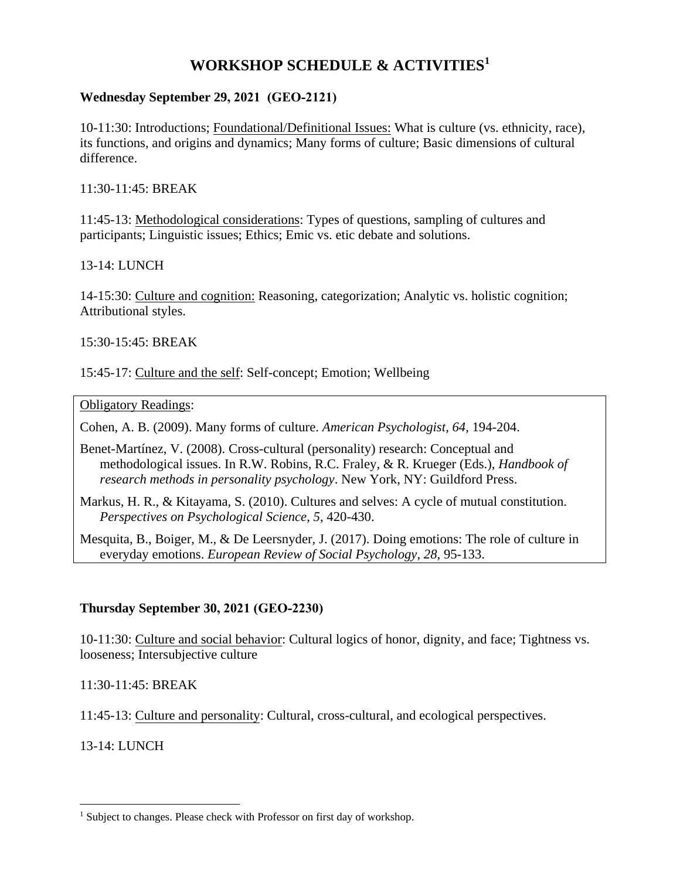# **WORKSHOP SCHEDULE & ACTIVITIES<sup>1</sup>**

### **Wednesday September 29, 2021 (GEO-2121)**

10-11:30: Introductions; Foundational/Definitional Issues: What is culture (vs. ethnicity, race), its functions, and origins and dynamics; Many forms of culture; Basic dimensions of cultural difference.

11:30-11:45: BREAK

11:45-13: Methodological considerations: Types of questions, sampling of cultures and participants; Linguistic issues; Ethics; Emic vs. etic debate and solutions.

#### 13-14: LUNCH

14-15:30: Culture and cognition: Reasoning, categorization; Analytic vs. holistic cognition; Attributional styles.

#### 15:30-15:45: BREAK

15:45-17: Culture and the self: Self-concept; Emotion; Wellbeing

#### Obligatory Readings:

Cohen, A. B. (2009). Many forms of culture. *American Psychologist, 64*, 194-204.

- Benet-Martínez, V. (2008). Cross-cultural (personality) research: Conceptual and methodological issues. In R.W. Robins, R.C. Fraley, & R. Krueger (Eds.), *Handbook of research methods in personality psychology*. New York, NY: Guildford Press.
- Markus, H. R., & Kitayama, S. (2010). Cultures and selves: A cycle of mutual constitution. *Perspectives on Psychological Science, 5*, 420-430.

Mesquita, B., Boiger, M., & De Leersnyder, J. (2017). Doing emotions: The role of culture in everyday emotions. *European Review of Social Psychology*, *28*, 95-133.

#### **Thursday September 30, 2021 (GEO-2230)**

10-11:30: Culture and social behavior: Cultural logics of honor, dignity, and face; Tightness vs. looseness; Intersubjective culture

#### 11:30-11:45: BREAK

11:45-13: Culture and personality: Cultural, cross-cultural, and ecological perspectives.

#### 13-14: LUNCH

<sup>&</sup>lt;sup>1</sup> Subject to changes. Please check with Professor on first day of workshop.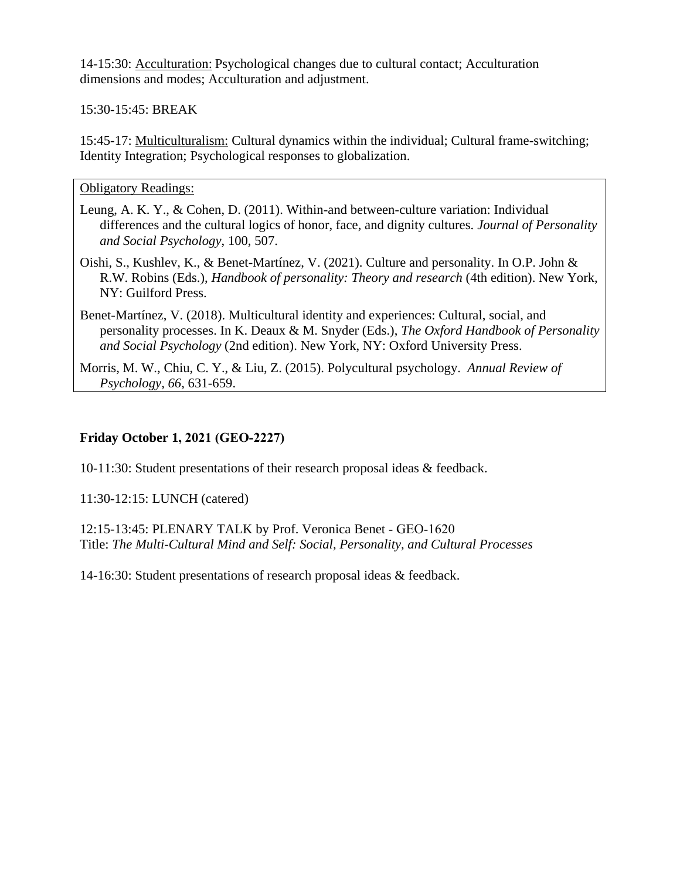14-15:30: Acculturation: Psychological changes due to cultural contact; Acculturation dimensions and modes; Acculturation and adjustment.

### 15:30-15:45: BREAK

15:45-17: Multiculturalism: Cultural dynamics within the individual; Cultural frame-switching; Identity Integration; Psychological responses to globalization.

#### Obligatory Readings:

- Leung, A. K. Y., & Cohen, D. (2011). Within-and between-culture variation: Individual differences and the cultural logics of honor, face, and dignity cultures. *Journal of Personality and Social Psychology*, 100, 507.
- Oishi, S., Kushlev, K., & Benet-Martínez, V. (2021). Culture and personality. In O.P. John & R.W. Robins (Eds.), *Handbook of personality: Theory and research* (4th edition). New York, NY: Guilford Press.
- Benet-Martínez, V. (2018). Multicultural identity and experiences: Cultural, social, and personality processes. In K. Deaux & M. Snyder (Eds.), *The Oxford Handbook of Personality and Social Psychology* (2nd edition). New York, NY: Oxford University Press.
- Morris, M. W., Chiu, C. Y., & Liu, Z. (2015). Polycultural psychology. *Annual Review of Psychology, 66*, 631-659.

### **Friday October 1, 2021 (GEO-2227)**

10-11:30: Student presentations of their research proposal ideas & feedback.

11:30-12:15: LUNCH (catered)

12:15-13:45: PLENARY TALK by Prof. Veronica Benet - GEO-1620 Title: *The Multi-Cultural Mind and Self: Social, Personality, and Cultural Processes*

14-16:30: Student presentations of research proposal ideas & feedback.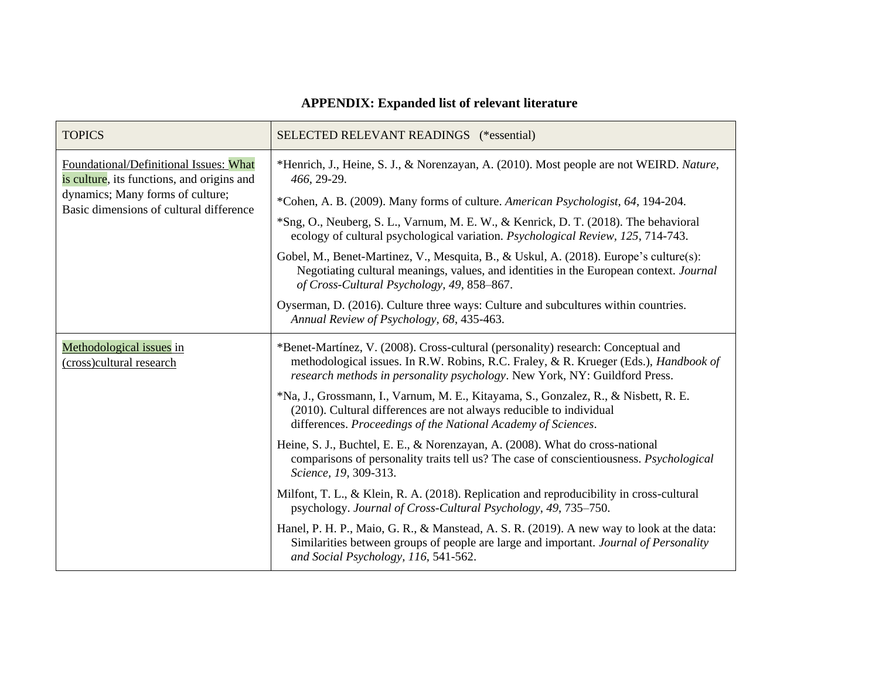# **APPENDIX: Expanded list of relevant literature**

| <b>TOPICS</b>                                                                                                                                                       | SELECTED RELEVANT READINGS (*essential)                                                                                                                                                                                                                        |
|---------------------------------------------------------------------------------------------------------------------------------------------------------------------|----------------------------------------------------------------------------------------------------------------------------------------------------------------------------------------------------------------------------------------------------------------|
| Foundational/Definitional Issues: What<br>is culture, its functions, and origins and<br>dynamics; Many forms of culture;<br>Basic dimensions of cultural difference | *Henrich, J., Heine, S. J., & Norenzayan, A. (2010). Most people are not WEIRD. Nature,<br>466, 29-29.                                                                                                                                                         |
|                                                                                                                                                                     | *Cohen, A. B. (2009). Many forms of culture. American Psychologist, 64, 194-204.                                                                                                                                                                               |
|                                                                                                                                                                     | *Sng, O., Neuberg, S. L., Varnum, M. E. W., & Kenrick, D. T. (2018). The behavioral<br>ecology of cultural psychological variation. Psychological Review, 125, 714-743.                                                                                        |
|                                                                                                                                                                     | Gobel, M., Benet-Martinez, V., Mesquita, B., & Uskul, A. (2018). Europe's culture(s):<br>Negotiating cultural meanings, values, and identities in the European context. Journal<br>of Cross-Cultural Psychology, 49, 858-867.                                  |
|                                                                                                                                                                     | Oyserman, D. (2016). Culture three ways: Culture and subcultures within countries.<br>Annual Review of Psychology, 68, 435-463.                                                                                                                                |
| Methodological issues in<br>(cross)cultural research                                                                                                                | *Benet-Martínez, V. (2008). Cross-cultural (personality) research: Conceptual and<br>methodological issues. In R.W. Robins, R.C. Fraley, & R. Krueger (Eds.), <i>Handbook of</i><br>research methods in personality psychology. New York, NY: Guildford Press. |
|                                                                                                                                                                     | *Na, J., Grossmann, I., Varnum, M. E., Kitayama, S., Gonzalez, R., & Nisbett, R. E.<br>(2010). Cultural differences are not always reducible to individual<br>differences. Proceedings of the National Academy of Sciences.                                    |
|                                                                                                                                                                     | Heine, S. J., Buchtel, E. E., & Norenzayan, A. (2008). What do cross-national<br>comparisons of personality traits tell us? The case of conscientiousness. <i>Psychological</i><br>Science, 19, 309-313.                                                       |
|                                                                                                                                                                     | Milfont, T. L., & Klein, R. A. (2018). Replication and reproducibility in cross-cultural<br>psychology. Journal of Cross-Cultural Psychology, 49, 735–750.                                                                                                     |
|                                                                                                                                                                     | Hanel, P. H. P., Maio, G. R., & Manstead, A. S. R. (2019). A new way to look at the data:<br>Similarities between groups of people are large and important. Journal of Personality<br>and Social Psychology, 116, 541-562.                                     |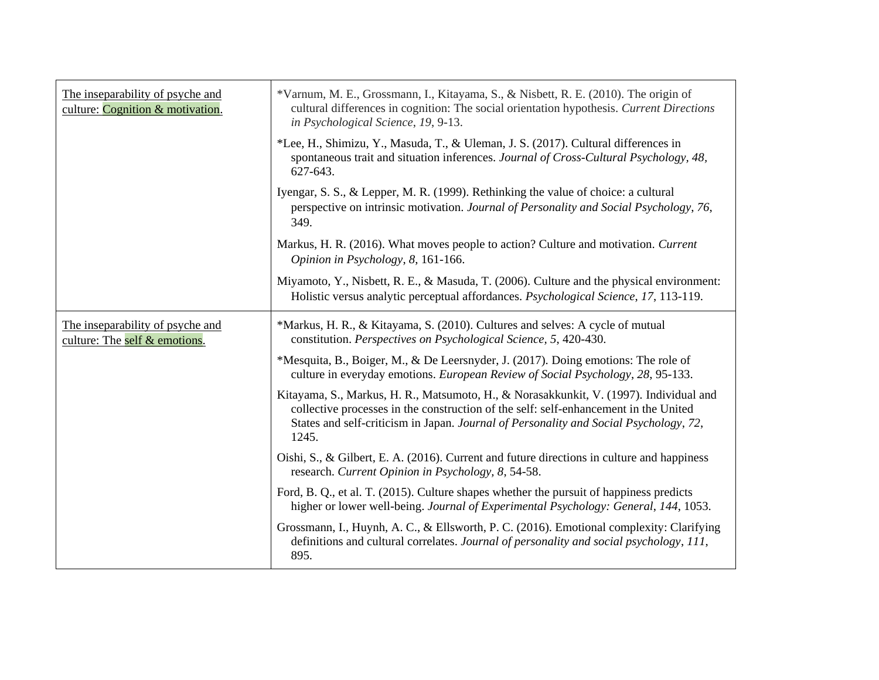| The inseparability of psyche and<br>culture: Cognition & motivation. | *Varnum, M. E., Grossmann, I., Kitayama, S., & Nisbett, R. E. (2010). The origin of<br>cultural differences in cognition: The social orientation hypothesis. Current Directions<br>in Psychological Science, 19, 9-13.                                                           |
|----------------------------------------------------------------------|----------------------------------------------------------------------------------------------------------------------------------------------------------------------------------------------------------------------------------------------------------------------------------|
|                                                                      | *Lee, H., Shimizu, Y., Masuda, T., & Uleman, J. S. (2017). Cultural differences in<br>spontaneous trait and situation inferences. Journal of Cross-Cultural Psychology, 48,<br>627-643.                                                                                          |
|                                                                      | Iyengar, S. S., & Lepper, M. R. (1999). Rethinking the value of choice: a cultural<br>perspective on intrinsic motivation. Journal of Personality and Social Psychology, 76,<br>349.                                                                                             |
|                                                                      | Markus, H. R. (2016). What moves people to action? Culture and motivation. Current<br>Opinion in Psychology, 8, 161-166.                                                                                                                                                         |
|                                                                      | Miyamoto, Y., Nisbett, R. E., & Masuda, T. (2006). Culture and the physical environment:<br>Holistic versus analytic perceptual affordances. Psychological Science, 17, 113-119.                                                                                                 |
| The inseparability of psyche and<br>culture: The self & emotions.    | *Markus, H. R., & Kitayama, S. (2010). Cultures and selves: A cycle of mutual<br>constitution. Perspectives on Psychological Science, 5, 420-430.                                                                                                                                |
|                                                                      | *Mesquita, B., Boiger, M., & De Leersnyder, J. (2017). Doing emotions: The role of<br>culture in everyday emotions. European Review of Social Psychology, 28, 95-133.                                                                                                            |
|                                                                      | Kitayama, S., Markus, H. R., Matsumoto, H., & Norasakkunkit, V. (1997). Individual and<br>collective processes in the construction of the self: self-enhancement in the United<br>States and self-criticism in Japan. Journal of Personality and Social Psychology, 72,<br>1245. |
|                                                                      | Oishi, S., & Gilbert, E. A. (2016). Current and future directions in culture and happiness<br>research. Current Opinion in Psychology, 8, 54-58.                                                                                                                                 |
|                                                                      | Ford, B. Q., et al. T. (2015). Culture shapes whether the pursuit of happiness predicts<br>higher or lower well-being. Journal of Experimental Psychology: General, 144, 1053.                                                                                                   |
|                                                                      | Grossmann, I., Huynh, A. C., & Ellsworth, P. C. (2016). Emotional complexity: Clarifying<br>definitions and cultural correlates. Journal of personality and social psychology, 111,<br>895.                                                                                      |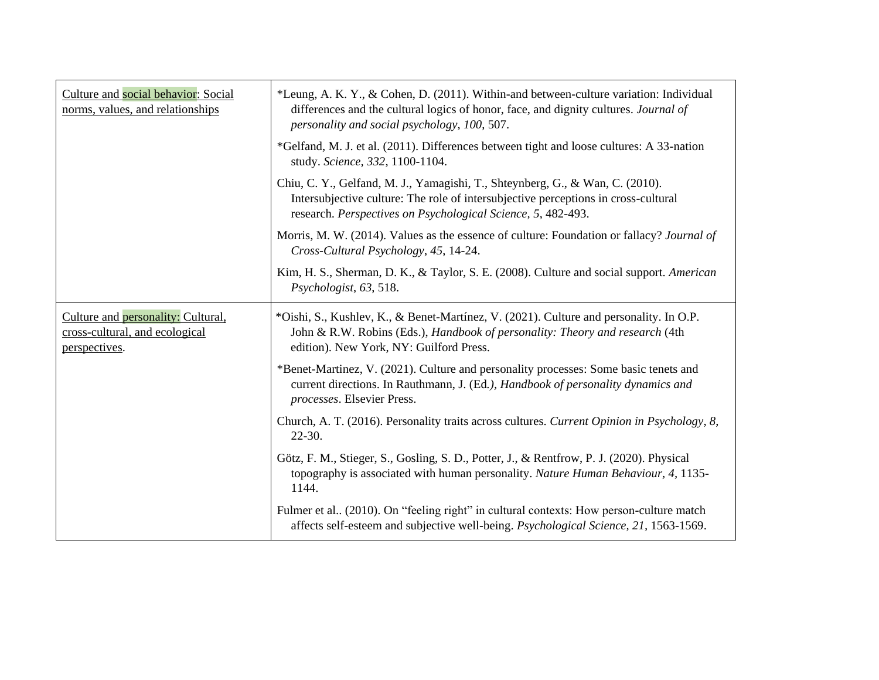| Culture and social behavior: Social<br>norms, values, and relationships               | *Leung, A. K. Y., & Cohen, D. (2011). Within-and between-culture variation: Individual<br>differences and the cultural logics of honor, face, and dignity cultures. Journal of<br>personality and social psychology, 100, 507.      |
|---------------------------------------------------------------------------------------|-------------------------------------------------------------------------------------------------------------------------------------------------------------------------------------------------------------------------------------|
|                                                                                       | *Gelfand, M. J. et al. (2011). Differences between tight and loose cultures: A 33-nation<br>study. Science, 332, 1100-1104.                                                                                                         |
|                                                                                       | Chiu, C. Y., Gelfand, M. J., Yamagishi, T., Shteynberg, G., & Wan, C. (2010).<br>Intersubjective culture: The role of intersubjective perceptions in cross-cultural<br>research. Perspectives on Psychological Science, 5, 482-493. |
|                                                                                       | Morris, M. W. (2014). Values as the essence of culture: Foundation or fallacy? Journal of<br>Cross-Cultural Psychology, 45, 14-24.                                                                                                  |
|                                                                                       | Kim, H. S., Sherman, D. K., & Taylor, S. E. (2008). Culture and social support. American<br>Psychologist, 63, 518.                                                                                                                  |
| Culture and personality: Cultural,<br>cross-cultural, and ecological<br>perspectives. | *Oishi, S., Kushlev, K., & Benet-Martínez, V. (2021). Culture and personality. In O.P.<br>John & R.W. Robins (Eds.), <i>Handbook of personality: Theory and research</i> (4th<br>edition). New York, NY: Guilford Press.            |
|                                                                                       | *Benet-Martinez, V. (2021). Culture and personality processes: Some basic tenets and<br>current directions. In Rauthmann, J. (Ed.), Handbook of personality dynamics and<br>processes. Elsevier Press.                              |
|                                                                                       | Church, A. T. (2016). Personality traits across cultures. Current Opinion in Psychology, 8,<br>$22 - 30.$                                                                                                                           |
|                                                                                       | Götz, F. M., Stieger, S., Gosling, S. D., Potter, J., & Rentfrow, P. J. (2020). Physical<br>topography is associated with human personality. Nature Human Behaviour, 4, 1135-<br>1144.                                              |
|                                                                                       | Fulmer et al., (2010). On "feeling right" in cultural contexts: How person-culture match<br>affects self-esteem and subjective well-being. Psychological Science, 21, 1563-1569.                                                    |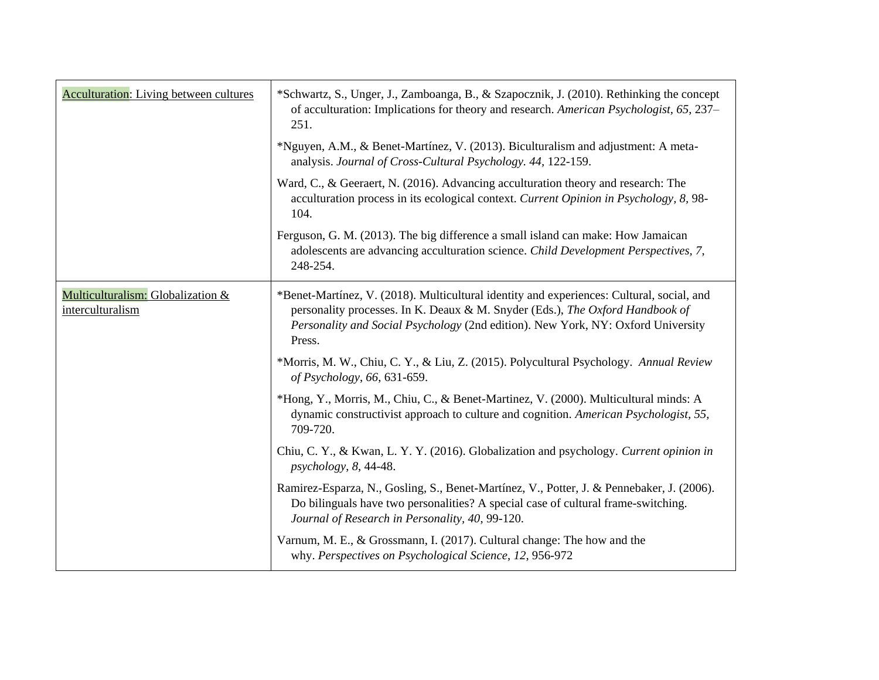| <b>Acculturation:</b> Living between cultures         | *Schwartz, S., Unger, J., Zamboanga, B., & Szapocznik, J. (2010). Rethinking the concept<br>of acculturation: Implications for theory and research. American Psychologist, 65, 237–<br>251.                                                                              |
|-------------------------------------------------------|--------------------------------------------------------------------------------------------------------------------------------------------------------------------------------------------------------------------------------------------------------------------------|
|                                                       | *Nguyen, A.M., & Benet-Martínez, V. (2013). Biculturalism and adjustment: A meta-<br>analysis. Journal of Cross-Cultural Psychology. 44, 122-159.                                                                                                                        |
|                                                       | Ward, C., & Geeraert, N. (2016). Advancing acculturation theory and research: The<br>acculturation process in its ecological context. Current Opinion in Psychology, 8, 98-<br>104.                                                                                      |
|                                                       | Ferguson, G. M. (2013). The big difference a small island can make: How Jamaican<br>adolescents are advancing acculturation science. Child Development Perspectives, 7,<br>248-254.                                                                                      |
| Multiculturalism: Globalization &<br>interculturalism | *Benet-Martínez, V. (2018). Multicultural identity and experiences: Cultural, social, and<br>personality processes. In K. Deaux & M. Snyder (Eds.), The Oxford Handbook of<br>Personality and Social Psychology (2nd edition). New York, NY: Oxford University<br>Press. |
|                                                       | *Morris, M. W., Chiu, C. Y., & Liu, Z. (2015). Polycultural Psychology. Annual Review<br>of Psychology, 66, 631-659.                                                                                                                                                     |
|                                                       | *Hong, Y., Morris, M., Chiu, C., & Benet-Martinez, V. (2000). Multicultural minds: A<br>dynamic constructivist approach to culture and cognition. American Psychologist, 55,<br>709-720.                                                                                 |
|                                                       | Chiu, C. Y., & Kwan, L. Y. Y. (2016). Globalization and psychology. Current opinion in<br>$psychology, 8, 44-48.$                                                                                                                                                        |
|                                                       | Ramirez-Esparza, N., Gosling, S., Benet-Martínez, V., Potter, J. & Pennebaker, J. (2006).<br>Do bilinguals have two personalities? A special case of cultural frame-switching.<br>Journal of Research in Personality, 40, 99-120.                                        |
|                                                       | Varnum, M. E., & Grossmann, I. (2017). Cultural change: The how and the<br>why. Perspectives on Psychological Science, 12, 956-972                                                                                                                                       |